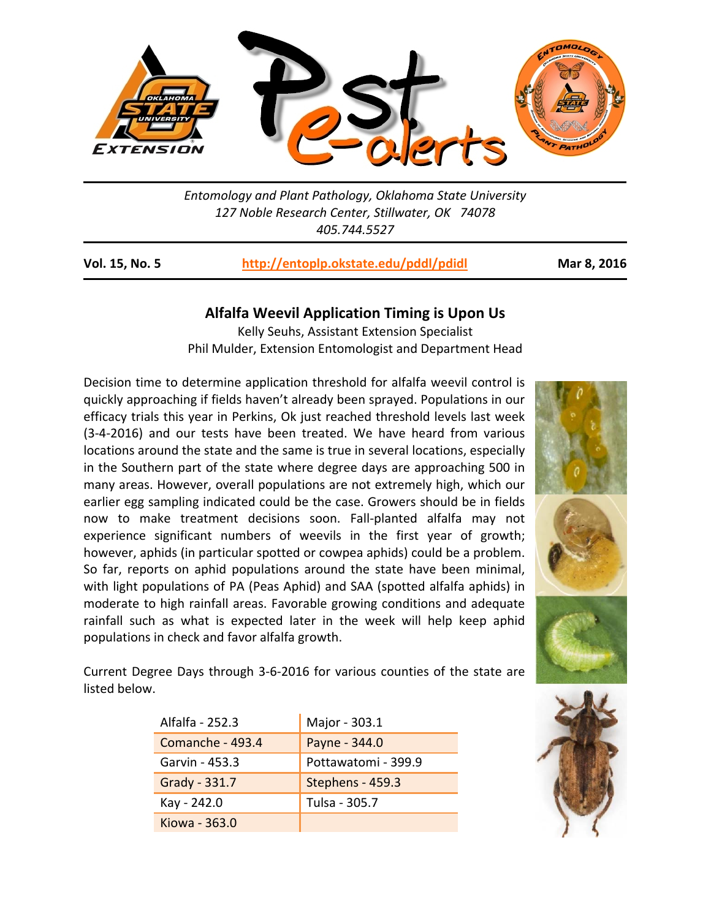

*Entomology and Plant Pathology, Oklahoma State University 127 Noble Research Center, Stillwater, OK 74078 405.744.5527* 

**Vol. 15, No. 5 http://entoplp.okstate.edu/pddl/pdidl Mar 8, 2016**

## **Alfalfa Weevil Application Timing is Upon Us**

Kelly Seuhs, Assistant Extension Specialist Phil Mulder, Extension Entomologist and Department Head

Decision time to determine application threshold for alfalfa weevil control is quickly approaching if fields haven't already been sprayed. Populations in our efficacy trials this year in Perkins, Ok just reached threshold levels last week (3‐4‐2016) and our tests have been treated. We have heard from various locations around the state and the same is true in several locations, especially in the Southern part of the state where degree days are approaching 500 in many areas. However, overall populations are not extremely high, which our earlier egg sampling indicated could be the case. Growers should be in fields now to make treatment decisions soon. Fall‐planted alfalfa may not experience significant numbers of weevils in the first year of growth; however, aphids (in particular spotted or cowpea aphids) could be a problem. So far, reports on aphid populations around the state have been minimal, with light populations of PA (Peas Aphid) and SAA (spotted alfalfa aphids) in moderate to high rainfall areas. Favorable growing conditions and adequate rainfall such as what is expected later in the week will help keep aphid populations in check and favor alfalfa growth.



Current Degree Days through 3‐6‐2016 for various counties of the state are listed below.

| Alfalfa - 252.3  | Major - 303.1       |
|------------------|---------------------|
| Comanche - 493.4 | Payne - 344.0       |
| Garvin - 453.3   | Pottawatomi - 399.9 |
| Grady - 331.7    | Stephens - 459.3    |
| Kay - 242.0      | Tulsa - 305.7       |
| Kiowa - 363.0    |                     |